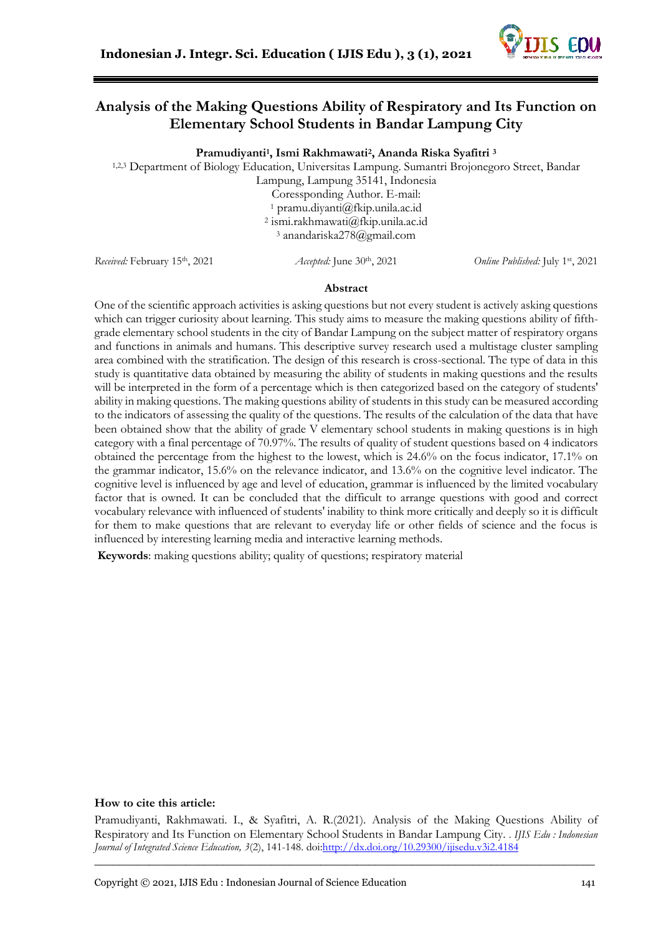

# **Analysis of the Making Questions Ability of Respiratory and Its Function on Elementary School Students in Bandar Lampung City**

**Pramudiyanti<sup>1</sup> , Ismi Rakhmawati<sup>2</sup> , Ananda Riska Syafitri <sup>3</sup>**

1,2,3 Department of Biology Education, Universitas Lampung. Sumantri Brojonegoro Street, Bandar

Lampung, Lampung 35141, Indonesia Coressponding Author. E-mail: <sup>1</sup> pramu.diyanti@fkip.unila.ac.id 2 ismi.rakhmawati@fkip.unila.ac.id <sup>3</sup> anandariska278@gmail.com

*Received: February 15th, 2021 Accepted: June 30th, 2021* 

Online Published: July 1st, 2021

#### **Abstract**

One of the scientific approach activities is asking questions but not every student is actively asking questions which can trigger curiosity about learning. This study aims to measure the making questions ability of fifthgrade elementary school students in the city of Bandar Lampung on the subject matter of respiratory organs and functions in animals and humans. This descriptive survey research used a multistage cluster sampling area combined with the stratification. The design of this research is cross-sectional. The type of data in this study is quantitative data obtained by measuring the ability of students in making questions and the results will be interpreted in the form of a percentage which is then categorized based on the category of students' ability in making questions. The making questions ability of students in this study can be measured according to the indicators of assessing the quality of the questions. The results of the calculation of the data that have been obtained show that the ability of grade V elementary school students in making questions is in high category with a final percentage of 70.97%. The results of quality of student questions based on 4 indicators obtained the percentage from the highest to the lowest, which is 24.6% on the focus indicator, 17.1% on the grammar indicator, 15.6% on the relevance indicator, and 13.6% on the cognitive level indicator. The cognitive level is influenced by age and level of education, grammar is influenced by the limited vocabulary factor that is owned. It can be concluded that the difficult to arrange questions with good and correct vocabulary relevance with influenced of students' inability to think more critically and deeply so it is difficult for them to make questions that are relevant to everyday life or other fields of science and the focus is influenced by interesting learning media and interactive learning methods.

**Keywords**: making questions ability; quality of questions; respiratory material

#### **How to cite this article:**

Pramudiyanti, Rakhmawati. I., & Syafitri, A. R.(2021). Analysis of the Making Questions Ability of Respiratory and Its Function on Elementary School Students in Bandar Lampung City. . *IJIS Edu : Indonesian Journal of Integrated Science Education, 3*(2), 141-148. do[i:http://dx.doi.org/10.29300/ijisedu.v3i2.4](http://dx.doi.org/10.29300/ijisedu.v3i2.)184

\_\_\_\_\_\_\_\_\_\_\_\_\_\_\_\_\_\_\_\_\_\_\_\_\_\_\_\_\_\_\_\_\_\_\_\_\_\_\_\_\_\_\_\_\_\_\_\_\_\_\_\_\_\_\_\_\_\_\_\_\_\_\_\_\_\_\_\_\_\_\_\_\_\_\_\_\_\_\_\_\_\_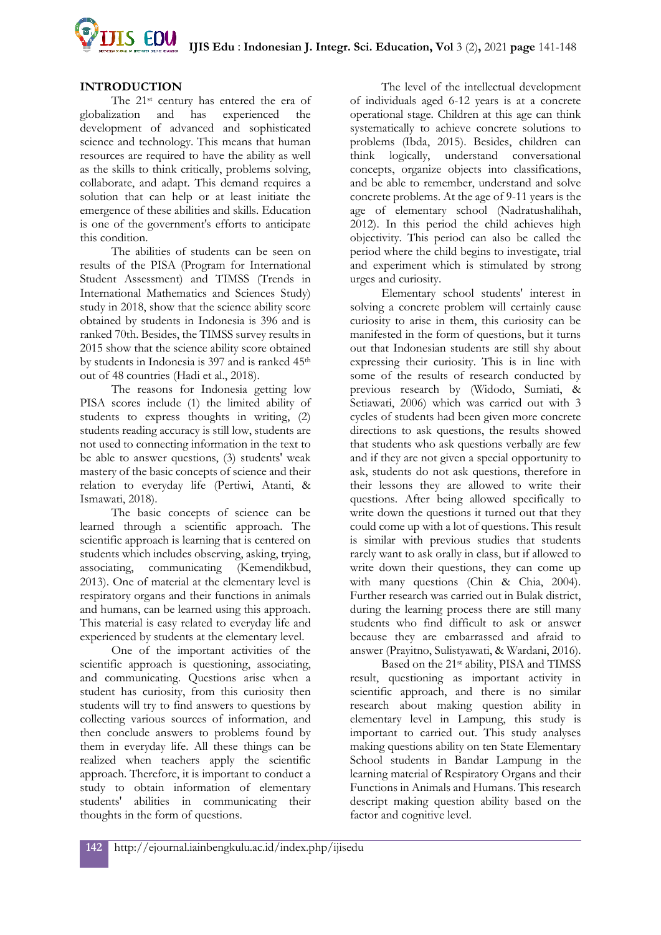

### **INTRODUCTION**

The 21st century has entered the era of globalization and has experienced the development of advanced and sophisticated science and technology. This means that human resources are required to have the ability as well as the skills to think critically, problems solving, collaborate, and adapt. This demand requires a solution that can help or at least initiate the emergence of these abilities and skills. Education is one of the government's efforts to anticipate this condition.

The abilities of students can be seen on results of the PISA (Program for International Student Assessment) and TIMSS (Trends in International Mathematics and Sciences Study) study in 2018, show that the science ability score obtained by students in Indonesia is 396 and is ranked 70th. Besides, the TIMSS survey results in 2015 show that the science ability score obtained by students in Indonesia is 397 and is ranked 45<sup>th</sup> out of 48 countries (Hadi et al., 2018).

The reasons for Indonesia getting low PISA scores include (1) the limited ability of students to express thoughts in writing, (2) students reading accuracy is still low, students are not used to connecting information in the text to be able to answer questions, (3) students' weak mastery of the basic concepts of science and their relation to everyday life (Pertiwi, Atanti, & Ismawati, 2018).

The basic concepts of science can be learned through a scientific approach. The scientific approach is learning that is centered on students which includes observing, asking, trying, associating, communicating (Kemendikbud, 2013). One of material at the elementary level is respiratory organs and their functions in animals and humans, can be learned using this approach. This material is easy related to everyday life and experienced by students at the elementary level.

One of the important activities of the scientific approach is questioning, associating, and communicating. Questions arise when a student has curiosity, from this curiosity then students will try to find answers to questions by collecting various sources of information, and then conclude answers to problems found by them in everyday life. All these things can be realized when teachers apply the scientific approach. Therefore, it is important to conduct a study to obtain information of elementary students' abilities in communicating their thoughts in the form of questions.

The level of the intellectual development of individuals aged 6-12 years is at a concrete operational stage. Children at this age can think systematically to achieve concrete solutions to problems (Ibda, 2015). Besides, children can think logically, understand conversational concepts, organize objects into classifications, and be able to remember, understand and solve concrete problems. At the age of 9-11 years is the age of elementary school (Nadratushalihah, 2012). In this period the child achieves high objectivity. This period can also be called the period where the child begins to investigate, trial and experiment which is stimulated by strong urges and curiosity.

Elementary school students' interest in solving a concrete problem will certainly cause curiosity to arise in them, this curiosity can be manifested in the form of questions, but it turns out that Indonesian students are still shy about expressing their curiosity. This is in line with some of the results of research conducted by previous research by (Widodo, Sumiati, & Setiawati, 2006) which was carried out with 3 cycles of students had been given more concrete directions to ask questions, the results showed that students who ask questions verbally are few and if they are not given a special opportunity to ask, students do not ask questions, therefore in their lessons they are allowed to write their questions. After being allowed specifically to write down the questions it turned out that they could come up with a lot of questions. This result is similar with previous studies that students rarely want to ask orally in class, but if allowed to write down their questions, they can come up with many questions (Chin & Chia, 2004). Further research was carried out in Bulak district, during the learning process there are still many students who find difficult to ask or answer because they are embarrassed and afraid to answer (Prayitno, Sulistyawati, & Wardani, 2016).

Based on the 21st ability, PISA and TIMSS result, questioning as important activity in scientific approach, and there is no similar research about making question ability in elementary level in Lampung, this study is important to carried out. This study analyses making questions ability on ten State Elementary School students in Bandar Lampung in the learning material of Respiratory Organs and their Functions in Animals and Humans. This research descript making question ability based on the factor and cognitive level.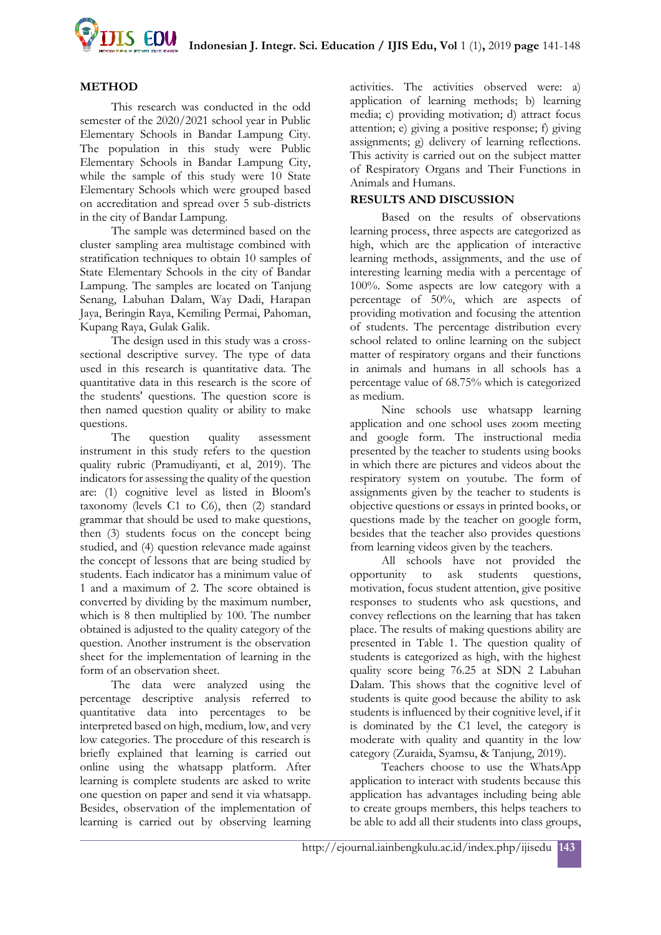

### **METHOD**

This research was conducted in the odd semester of the 2020/2021 school year in Public Elementary Schools in Bandar Lampung City. The population in this study were Public Elementary Schools in Bandar Lampung City, while the sample of this study were 10 State Elementary Schools which were grouped based on accreditation and spread over 5 sub-districts in the city of Bandar Lampung.

The sample was determined based on the cluster sampling area multistage combined with stratification techniques to obtain 10 samples of State Elementary Schools in the city of Bandar Lampung. The samples are located on Tanjung Senang, Labuhan Dalam, Way Dadi, Harapan Jaya, Beringin Raya, Kemiling Permai, Pahoman, Kupang Raya, Gulak Galik.

The design used in this study was a crosssectional descriptive survey. The type of data used in this research is quantitative data. The quantitative data in this research is the score of the students' questions. The question score is then named question quality or ability to make questions.

The question quality assessment instrument in this study refers to the question quality rubric (Pramudiyanti, et al, 2019). The indicators for assessing the quality of the question are: (1) cognitive level as listed in Bloom's taxonomy (levels C1 to C6), then (2) standard grammar that should be used to make questions, then (3) students focus on the concept being studied, and (4) question relevance made against the concept of lessons that are being studied by students. Each indicator has a minimum value of 1 and a maximum of 2. The score obtained is converted by dividing by the maximum number, which is 8 then multiplied by 100. The number obtained is adjusted to the quality category of the question. Another instrument is the observation sheet for the implementation of learning in the form of an observation sheet.

The data were analyzed using the percentage descriptive analysis referred to quantitative data into percentages to be interpreted based on high, medium, low, and very low categories. The procedure of this research is briefly explained that learning is carried out online using the whatsapp platform. After learning is complete students are asked to write one question on paper and send it via whatsapp. Besides, observation of the implementation of learning is carried out by observing learning

activities. The activities observed were: a) application of learning methods; b) learning media; c) providing motivation; d) attract focus attention; e) giving a positive response; f) giving assignments; g) delivery of learning reflections. This activity is carried out on the subject matter of Respiratory Organs and Their Functions in Animals and Humans.

### **RESULTS AND DISCUSSION**

Based on the results of observations learning process, three aspects are categorized as high, which are the application of interactive learning methods, assignments, and the use of interesting learning media with a percentage of 100%. Some aspects are low category with a percentage of 50%, which are aspects of providing motivation and focusing the attention of students. The percentage distribution every school related to online learning on the subject matter of respiratory organs and their functions in animals and humans in all schools has a percentage value of 68.75% which is categorized as medium.

Nine schools use whatsapp learning application and one school uses zoom meeting and google form. The instructional media presented by the teacher to students using books in which there are pictures and videos about the respiratory system on youtube. The form of assignments given by the teacher to students is objective questions or essays in printed books, or questions made by the teacher on google form, besides that the teacher also provides questions from learning videos given by the teachers.

All schools have not provided the opportunity to ask students questions, motivation, focus student attention, give positive responses to students who ask questions, and convey reflections on the learning that has taken place. The results of making questions ability are presented in Table 1. The question quality of students is categorized as high, with the highest quality score being 76.25 at SDN 2 Labuhan Dalam. This shows that the cognitive level of students is quite good because the ability to ask students is influenced by their cognitive level, if it is dominated by the C1 level, the category is moderate with quality and quantity in the low category (Zuraida, Syamsu, & Tanjung, 2019).

Teachers choose to use the WhatsApp application to interact with students because this application has advantages including being able to create groups members, this helps teachers to be able to add all their students into class groups,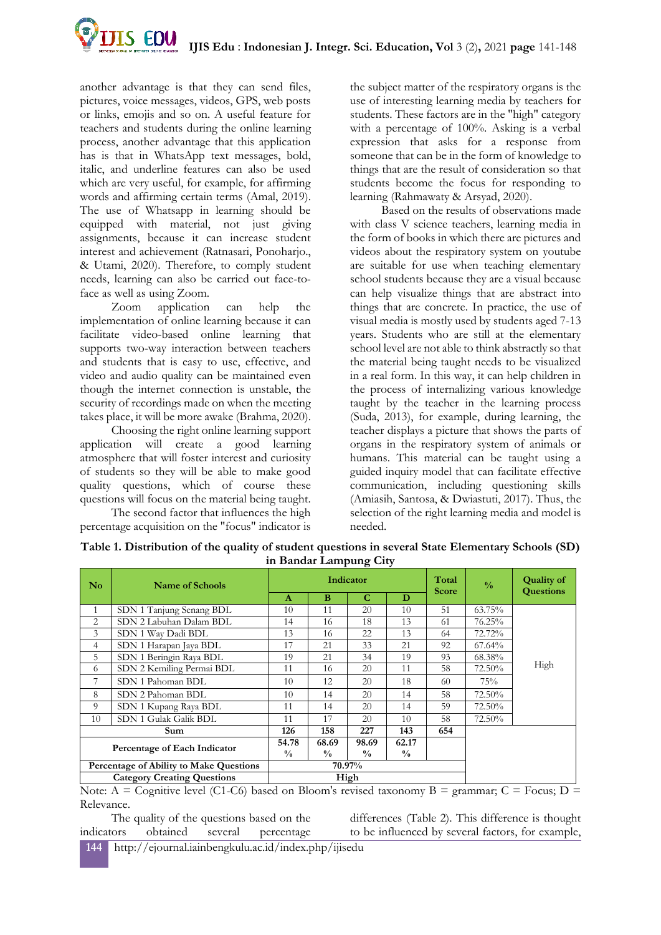

another advantage is that they can send files, pictures, voice messages, videos, GPS, web posts or links, emojis and so on. A useful feature for teachers and students during the online learning process, another advantage that this application has is that in WhatsApp text messages, bold, italic, and underline features can also be used which are very useful, for example, for affirming words and affirming certain terms (Amal, 2019). The use of Whatsapp in learning should be equipped with material, not just giving assignments, because it can increase student interest and achievement (Ratnasari, Ponoharjo., & Utami, 2020). Therefore, to comply student needs, learning can also be carried out face-toface as well as using Zoom.

Zoom application can help the implementation of online learning because it can facilitate video-based online learning that supports two-way interaction between teachers and students that is easy to use, effective, and video and audio quality can be maintained even though the internet connection is unstable, the security of recordings made on when the meeting takes place, it will be more awake (Brahma, 2020).

Choosing the right online learning support application will create a good learning atmosphere that will foster interest and curiosity of students so they will be able to make good quality questions, which of course these questions will focus on the material being taught.

The second factor that influences the high percentage acquisition on the "focus" indicator is

the subject matter of the respiratory organs is the use of interesting learning media by teachers for students. These factors are in the "high" category with a percentage of 100%. Asking is a verbal expression that asks for a response from someone that can be in the form of knowledge to things that are the result of consideration so that students become the focus for responding to learning (Rahmawaty & Arsyad, 2020).

Based on the results of observations made with class V science teachers, learning media in the form of books in which there are pictures and videos about the respiratory system on youtube are suitable for use when teaching elementary school students because they are a visual because can help visualize things that are abstract into things that are concrete. In practice, the use of visual media is mostly used by students aged 7-13 years. Students who are still at the elementary school level are not able to think abstractly so that the material being taught needs to be visualized in a real form. In this way, it can help children in the process of internalizing various knowledge taught by the teacher in the learning process (Suda, 2013), for example, during learning, the teacher displays a picture that shows the parts of organs in the respiratory system of animals or humans. This material can be taught using a guided inquiry model that can facilitate effective communication, including questioning skills (Amiasih, Santosa, & Dwiastuti, 2017). Thus, the selection of the right learning media and model is needed.

|                                         |                           |                        |                        | o                      |                        |                       |               |                                       |  |
|-----------------------------------------|---------------------------|------------------------|------------------------|------------------------|------------------------|-----------------------|---------------|---------------------------------------|--|
| $\mathbf{N}\mathbf{o}$                  | <b>Name of Schools</b>    | Indicator              |                        |                        |                        | Total<br><b>Score</b> | $\frac{0}{0}$ | <b>Quality of</b><br><b>Questions</b> |  |
|                                         |                           | $\mathbf{A}$           | B                      | C                      | D                      |                       |               |                                       |  |
| 1                                       | SDN 1 Tanjung Senang BDL  | 10                     | 11                     | 20                     | 10                     | 51                    | 63.75%        |                                       |  |
| 2                                       | SDN 2 Labuhan Dalam BDL   | 14                     | 16                     | 18                     | 13                     | 61                    | 76.25%        |                                       |  |
| 3                                       | SDN 1 Way Dadi BDL        | 13                     | 16                     | 22                     | 13                     | 64                    | 72.72%        | High                                  |  |
| 4                                       | SDN 1 Harapan Jaya BDL    | 17                     | 21                     | 33                     | 21                     | 92                    | $67.64\%$     |                                       |  |
| 5                                       | SDN 1 Beringin Raya BDL   | 19                     | 21                     | 34                     | 19                     | 93                    | 68.38%        |                                       |  |
| 6                                       | SDN 2 Kemiling Permai BDL | 11                     | 16                     | 20                     | 11                     | 58                    | 72.50%        |                                       |  |
| 7                                       | SDN 1 Pahoman BDL         | 10                     | 12                     | 20                     | 18                     | 60                    | 75%           |                                       |  |
| 8                                       | SDN 2 Pahoman BDL         | 10                     | 14                     | 20                     | 14                     | 58                    | 72.50%        |                                       |  |
| 9                                       | SDN 1 Kupang Raya BDL     | 11                     | 14                     | 20                     | 14                     | 59                    | 72.50%        |                                       |  |
| 10                                      | SDN 1 Gulak Galik BDL     | 11                     | 17                     | 20                     | 10                     | 58                    | 72.50%        |                                       |  |
| Sum                                     |                           | 126                    | 158                    | 227                    | 143                    | 654                   |               |                                       |  |
| Percentage of Each Indicator            |                           | 54.78<br>$\frac{0}{0}$ | 68.69<br>$\frac{0}{0}$ | 98.69<br>$\frac{0}{0}$ | 62.17<br>$\frac{0}{0}$ |                       |               |                                       |  |
| Percentage of Ability to Make Questions |                           | 70.97%                 |                        |                        |                        |                       |               |                                       |  |
| <b>Category Creating Questions</b>      |                           | High                   |                        |                        |                        |                       |               |                                       |  |

**Table 1. Distribution of the quality of student questions in several State Elementary Schools (SD) in Bandar Lampung City**

Note:  $A = C$ ognitive level (C1-C6) based on Bloom's revised taxonomy  $B =$  grammar;  $C = F$ ocus;  $D =$ Relevance.

The quality of the questions based on the indicators obtained several percentage differences (Table 2). This difference is thought to be influenced by several factors, for example,

**144** http://ejournal.iainbengkulu.ac.id/index.php/ijisedu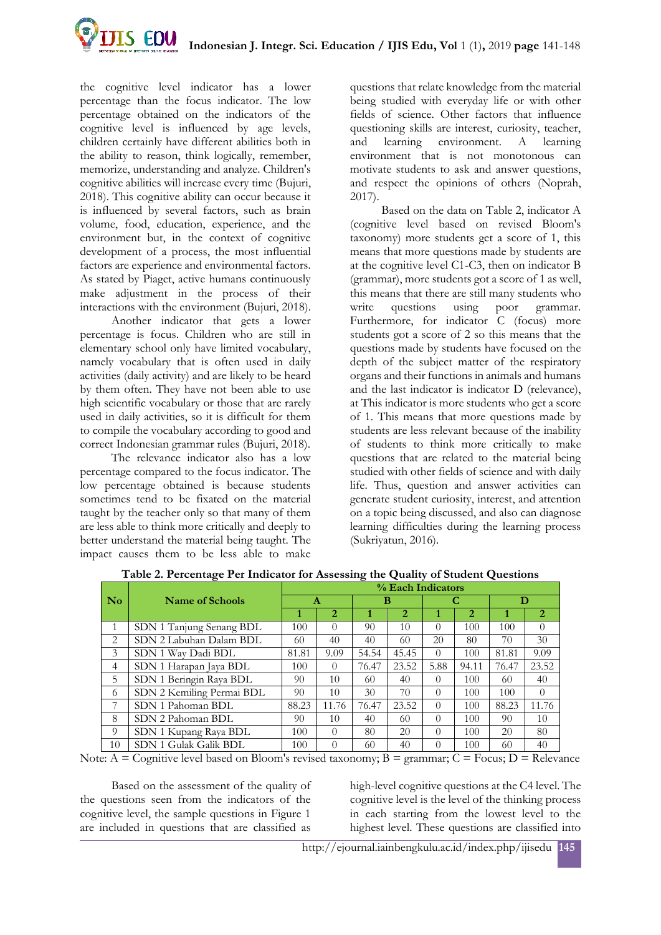

the cognitive level indicator has a lower percentage than the focus indicator. The low percentage obtained on the indicators of the cognitive level is influenced by age levels, children certainly have different abilities both in the ability to reason, think logically, remember, memorize, understanding and analyze. Children's cognitive abilities will increase every time (Bujuri, 2018). This cognitive ability can occur because it is influenced by several factors, such as brain volume, food, education, experience, and the environment but, in the context of cognitive development of a process, the most influential factors are experience and environmental factors. As stated by Piaget, active humans continuously make adjustment in the process of their interactions with the environment (Bujuri, 2018).

Another indicator that gets a lower percentage is focus. Children who are still in elementary school only have limited vocabulary, namely vocabulary that is often used in daily activities (daily activity) and are likely to be heard by them often. They have not been able to use high scientific vocabulary or those that are rarely used in daily activities, so it is difficult for them to compile the vocabulary according to good and correct Indonesian grammar rules (Bujuri, 2018).

The relevance indicator also has a low percentage compared to the focus indicator. The low percentage obtained is because students sometimes tend to be fixated on the material taught by the teacher only so that many of them are less able to think more critically and deeply to better understand the material being taught. The impact causes them to be less able to make

questions that relate knowledge from the material being studied with everyday life or with other fields of science. Other factors that influence questioning skills are interest, curiosity, teacher, and learning environment. A learning environment that is not monotonous can motivate students to ask and answer questions, and respect the opinions of others (Noprah, 2017).

Based on the data on Table 2, indicator A (cognitive level based on revised Bloom's taxonomy) more students get a score of 1, this means that more questions made by students are at the cognitive level C1-C3, then on indicator B (grammar), more students got a score of 1 as well, this means that there are still many students who write questions using poor grammar. Furthermore, for indicator C (focus) more students got a score of 2 so this means that the questions made by students have focused on the depth of the subject matter of the respiratory organs and their functions in animals and humans and the last indicator is indicator D (relevance), at This indicator is more students who get a score of 1. This means that more questions made by students are less relevant because of the inability of students to think more critically to make questions that are related to the material being studied with other fields of science and with daily life. Thus, question and answer activities can generate student curiosity, interest, and attention on a topic being discussed, and also can diagnose learning difficulties during the learning process (Sukriyatun, 2016).

|                | o                         |                   |                | . .   |                |          |                |       |                |  |
|----------------|---------------------------|-------------------|----------------|-------|----------------|----------|----------------|-------|----------------|--|
|                | Name of Schools           | % Each Indicators |                |       |                |          |                |       |                |  |
| <b>No</b>      |                           | A                 |                | B     |                | С        |                | D     |                |  |
|                |                           |                   | $\overline{2}$ |       | $\overline{2}$ |          | $\overline{2}$ | 1     | $\overline{2}$ |  |
| 1              | SDN 1 Tanjung Senang BDL  | 100               | $\Omega$       | 90    | 10             |          | 100            | 100   | $\Omega$       |  |
| 2              | SDN 2 Labuhan Dalam BDL   | 60                | 40             | 40    | 60             | 20       | 80             | 70    | 30             |  |
| 3              | SDN 1 Way Dadi BDL        | 81.81             | 9.09           | 54.54 | 45.45          | $\Omega$ | 100            | 81.81 | 9.09           |  |
| $\overline{4}$ | SDN 1 Harapan Jaya BDL    | 100               | $\Omega$       | 76.47 | 23.52          | 5.88     | 94.11          | 76.47 | 23.52          |  |
| 5              | SDN 1 Beringin Raya BDL   | 90                | 10             | 60    | 40             | $\Omega$ | 100            | 60    | 40             |  |
| 6              | SDN 2 Kemiling Permai BDL | 90                | 10             | 30    | 70             | $\Omega$ | 100            | 100   | $\Omega$       |  |
|                | SDN 1 Pahoman BDL         | 88.23             | 11.76          | 76.47 | 23.52          | $\Omega$ | 100            | 88.23 | 11.76          |  |
| 8              | SDN 2 Pahoman BDL         | 90                | 10             | 40    | 60             | $\Omega$ | 100            | 90    | 10             |  |
| $\Omega$       | SDN 1 Kupang Raya BDL     | 100               | $\Omega$       | 80    | 20             | $\Omega$ | 100            | 20    | 80             |  |
| 10             | SDN 1 Gulak Galik BDL     | 100               | $\Omega$       | 60    | 40             |          | 100            | 60    | 40             |  |

**Table 2. Percentage Per Indicator for Assessing the Quality of Student Questions**

Note:  $A = C$ ognitive level based on Bloom's revised taxonomy;  $B =$  grammar;  $C = F$ ocus;  $D =$  Relevance

Based on the assessment of the quality of the questions seen from the indicators of the cognitive level, the sample questions in Figure 1 are included in questions that are classified as

high-level cognitive questions at the C4 level. The cognitive level is the level of the thinking process in each starting from the lowest level to the highest level. These questions are classified into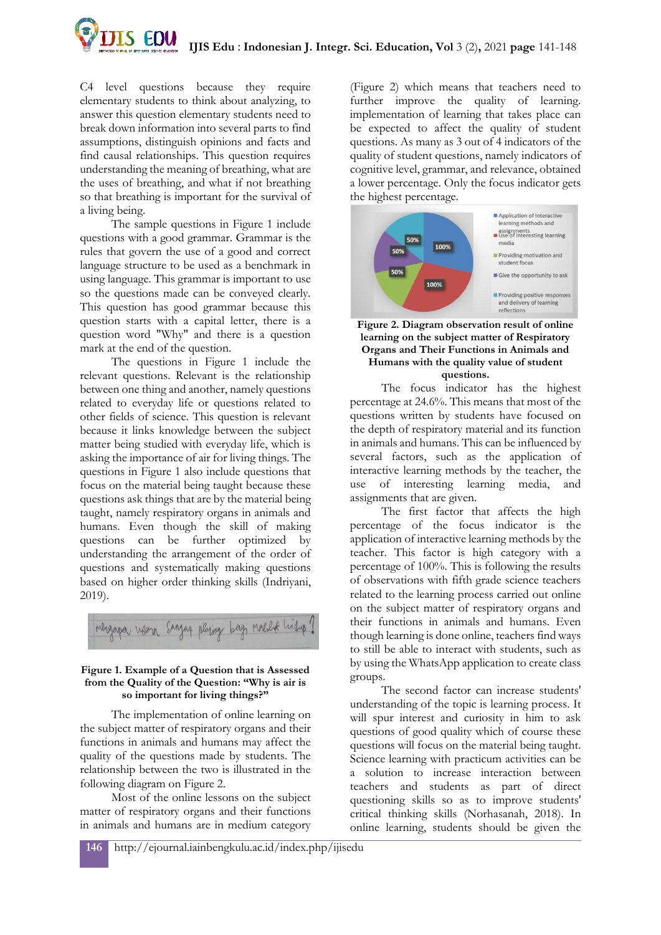

C4 level questions because they require elementary students to think about analyzing, to answer this question elementary students need to break down information into several parts to find assumptions, distinguish opinions and facts and find causal relationships. This question requires understanding the meaning of breathing, what are the uses of breathing, and what if not breathing so that breathing is important for the survival of a living being.

The sample questions in Figure 1 include questions with a good grammar. Grammar is the rules that govern the use of a good and correct language structure to be used as a benchmark in using language. This grammar is important to use so the questions made can be conveyed clearly. This question has good grammar because this question starts with a capital letter, there is a question word "Why" and there is a question mark at the end of the question.

The questions in Figure 1 include the relevant questions. Relevant is the relationship between one thing and another, namely questions related to everyday life or questions related to other fields of science. This question is relevant because it links knowledge between the subject matter being studied with everyday life, which is asking the importance of air for living things. The questions in Figure 1 also include questions that focus on the material being taught because these questions ask things that are by the material being taught, namely respiratory organs in animals and humans. Even though the skill of making questions can be further optimized by understanding the arrangement of the order of questions and systematically making questions based on higher order thinking skills (Indriyani, 2019).



### **Figure 1. Example of a Question that is Assessed from the Quality of the Question: "Why is air is so important for living things?"**

The implementation of online learning on the subject matter of respiratory organs and their functions in animals and humans may affect the quality of the questions made by students. The relationship between the two is illustrated in the following diagram on Figure 2.

Most of the online lessons on the subject matter of respiratory organs and their functions in animals and humans are in medium category

(Figure 2) which means that teachers need to further improve the quality of learning. implementation of learning that takes place can be expected to affect the quality of student questions. As many as 3 out of 4 indicators of the quality of student questions, namely indicators of cognitive level, grammar, and relevance, obtained a lower percentage. Only the focus indicator gets the highest percentage.



#### **Figure 2. Diagram observation result of online learning on the subject matter of Respiratory Organs and Their Functions in Animals and Humans with the quality value of student questions.**

The focus indicator has the highest percentage at 24.6%. This means that most of the questions written by students have focused on the depth of respiratory material and its function in animals and humans. This can be influenced by several factors, such as the application of interactive learning methods by the teacher, the use of interesting learning media, and assignments that are given.

The first factor that affects the high percentage of the focus indicator is the application of interactive learning methods by the teacher. This factor is high category with a percentage of 100%. This is following the results of observations with fifth grade science teachers related to the learning process carried out online on the subject matter of respiratory organs and their functions in animals and humans. Even though learning is done online, teachers find ways to still be able to interact with students, such as by using the WhatsApp application to create class groups.

The second factor can increase students' understanding of the topic is learning process. It will spur interest and curiosity in him to ask questions of good quality which of course these questions will focus on the material being taught. Science learning with practicum activities can be a solution to increase interaction between teachers and students as part of direct questioning skills so as to improve students' critical thinking skills (Norhasanah, 2018). In online learning, students should be given the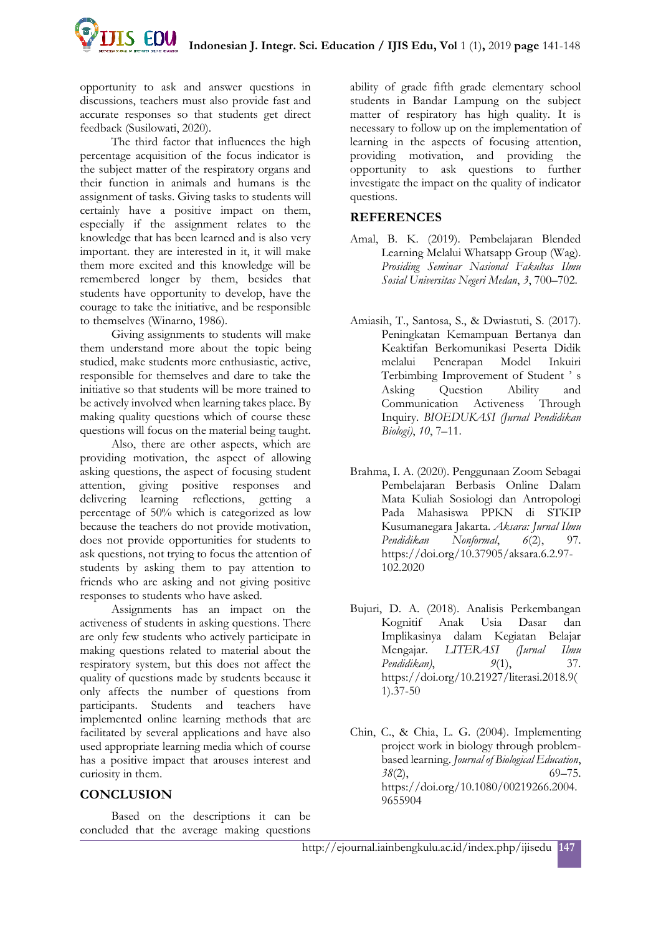**IS EDU Indonesian J. Integr. Sci. Education / IJIS Edu, Vol** 1 (1)**,** 2019 **page** 141-148

opportunity to ask and answer questions in discussions, teachers must also provide fast and accurate responses so that students get direct feedback (Susilowati, 2020).

The third factor that influences the high percentage acquisition of the focus indicator is the subject matter of the respiratory organs and their function in animals and humans is the assignment of tasks. Giving tasks to students will certainly have a positive impact on them, especially if the assignment relates to the knowledge that has been learned and is also very important. they are interested in it, it will make them more excited and this knowledge will be remembered longer by them, besides that students have opportunity to develop, have the courage to take the initiative, and be responsible to themselves (Winarno, 1986).

Giving assignments to students will make them understand more about the topic being studied, make students more enthusiastic, active, responsible for themselves and dare to take the initiative so that students will be more trained to be actively involved when learning takes place. By making quality questions which of course these questions will focus on the material being taught.

Also, there are other aspects, which are providing motivation, the aspect of allowing asking questions, the aspect of focusing student attention, giving positive responses and delivering learning reflections, getting a percentage of 50% which is categorized as low because the teachers do not provide motivation, does not provide opportunities for students to ask questions, not trying to focus the attention of students by asking them to pay attention to friends who are asking and not giving positive responses to students who have asked.

Assignments has an impact on the activeness of students in asking questions. There are only few students who actively participate in making questions related to material about the respiratory system, but this does not affect the quality of questions made by students because it only affects the number of questions from participants. Students and teachers have implemented online learning methods that are facilitated by several applications and have also used appropriate learning media which of course has a positive impact that arouses interest and curiosity in them.

## **CONCLUSION**

Based on the descriptions it can be concluded that the average making questions

ability of grade fifth grade elementary school students in Bandar Lampung on the subject matter of respiratory has high quality. It is necessary to follow up on the implementation of learning in the aspects of focusing attention, providing motivation, and providing the opportunity to ask questions to further investigate the impact on the quality of indicator questions.

## **REFERENCES**

- Amal, B. K. (2019). Pembelajaran Blended Learning Melalui Whatsapp Group (Wag). *Prosiding Seminar Nasional Fakultas Ilmu Sosial Universitas Negeri Medan*, *3*, 700–702.
- Amiasih, T., Santosa, S., & Dwiastuti, S. (2017). Peningkatan Kemampuan Bertanya dan Keaktifan Berkomunikasi Peserta Didik melalui Penerapan Model Inkuiri Terbimbing Improvement of Student ' s Asking Question Ability and Communication Activeness Through Inquiry. *BIOEDUKASI (Jurnal Pendidikan Biologi)*, *10*, 7–11.
- Brahma, I. A. (2020). Penggunaan Zoom Sebagai Pembelajaran Berbasis Online Dalam Mata Kuliah Sosiologi dan Antropologi Pada Mahasiswa PPKN di STKIP Kusumanegara Jakarta. *Aksara: Jurnal Ilmu Pendidikan Nonformal*, *6*(2), 97. https://doi.org/10.37905/aksara.6.2.97- 102.2020
- Bujuri, D. A. (2018). Analisis Perkembangan Kognitif Anak Usia Dasar dan Implikasinya dalam Kegiatan Belajar Mengajar. *LITERASI (Jurnal Ilmu Pendidikan)*, *9*(1), 37. https://doi.org/10.21927/literasi.2018.9( 1).37-50
- Chin, C., & Chia, L. G. (2004). Implementing project work in biology through problembased learning. *Journal of Biological Education*, 3*8*(2), 69–75. https://doi.org/10.1080/00219266.2004. 9655904